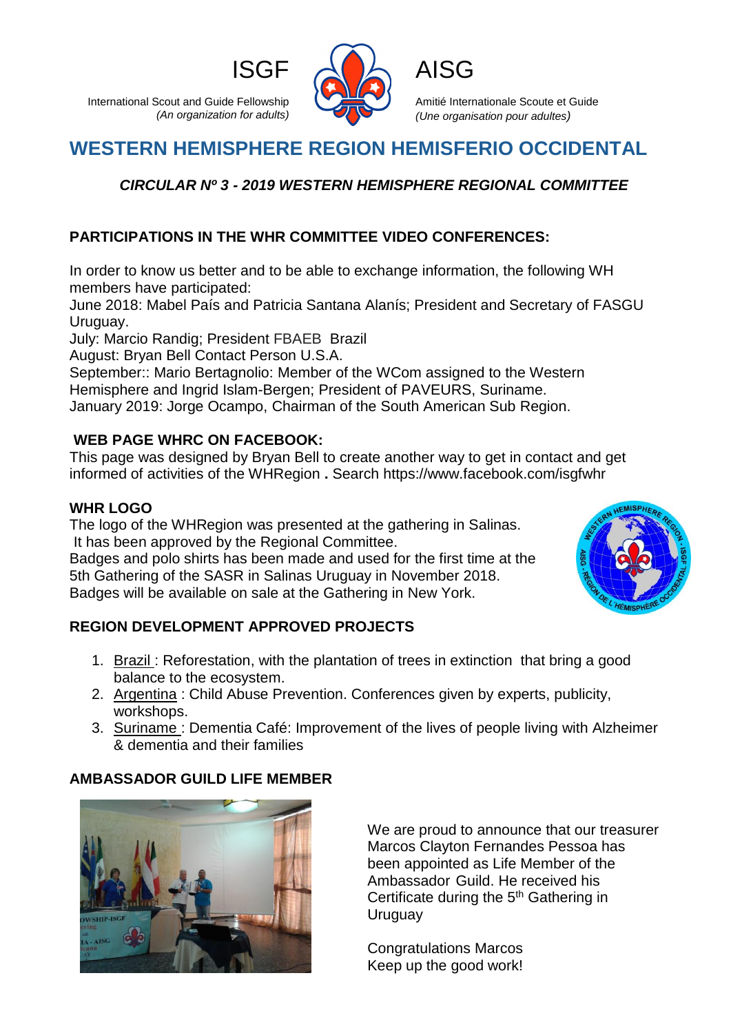International Scout and Guide Fellowship *(An organization for adults)*



Amitié Internationale Scoute et Guide *(Une organisation pour adultes)*

# **WESTERN HEMISPHERE REGION HEMISFERIO OCCIDENTAL**

## *CIRCULAR Nº 3 - 2019 WESTERN HEMISPHERE REGIONAL COMMITTEE*

### **PARTICIPATIONS IN THE WHR COMMITTEE VIDEO CONFERENCES:**

In order to know us better and to be able to exchange information, the following WH members have participated:

June 2018: Mabel País and Patricia Santana Alanís; President and Secretary of FASGU Uruguay.

July: Marcio Randig; President FBAEB Brazil

August: Bryan Bell Contact Person U.S.A.

September:: Mario Bertagnolio: Member of the WCom assigned to the Western Hemisphere and Ingrid Islam-Bergen; President of PAVEURS, Suriname. January 2019: Jorge Ocampo, Chairman of the South American Sub Region.

#### **WEB PAGE WHRC ON FACEBOOK:**

This page was designed by Bryan Bell to create another way to get in contact and get informed of activities of the WHRegion **.** Search https://www.facebook.com/isgfwhr

#### **WHR LOGO**

The logo of the WHRegion was presented at the gathering in Salinas. It has been approved by the Regional Committee.

Badges and polo shirts has been made and used for the first time at the 5th Gathering of the SASR in Salinas Uruguay in November 2018. Badges will be available on sale at the Gathering in New York.



#### **REGION DEVELOPMENT APPROVED PROJECTS**

- 1. Brazil: Reforestation, with the plantation of trees in extinction that bring a good balance to the ecosystem.
- 2. Argentina : Child Abuse Prevention. Conferences given by experts, publicity, workshops.
- 3. Suriname : Dementia Café: Improvement of the lives of people living with Alzheimer & dementia and their families

#### **AMBASSADOR GUILD LIFE MEMBER**



We are proud to announce that our treasurer Marcos Clayton Fernandes Pessoa has been appointed as Life Member of the Ambassador Guild. He received his Certificate during the 5<sup>th</sup> Gathering in **Uruguay** 

Congratulations Marcos Keep up the good work!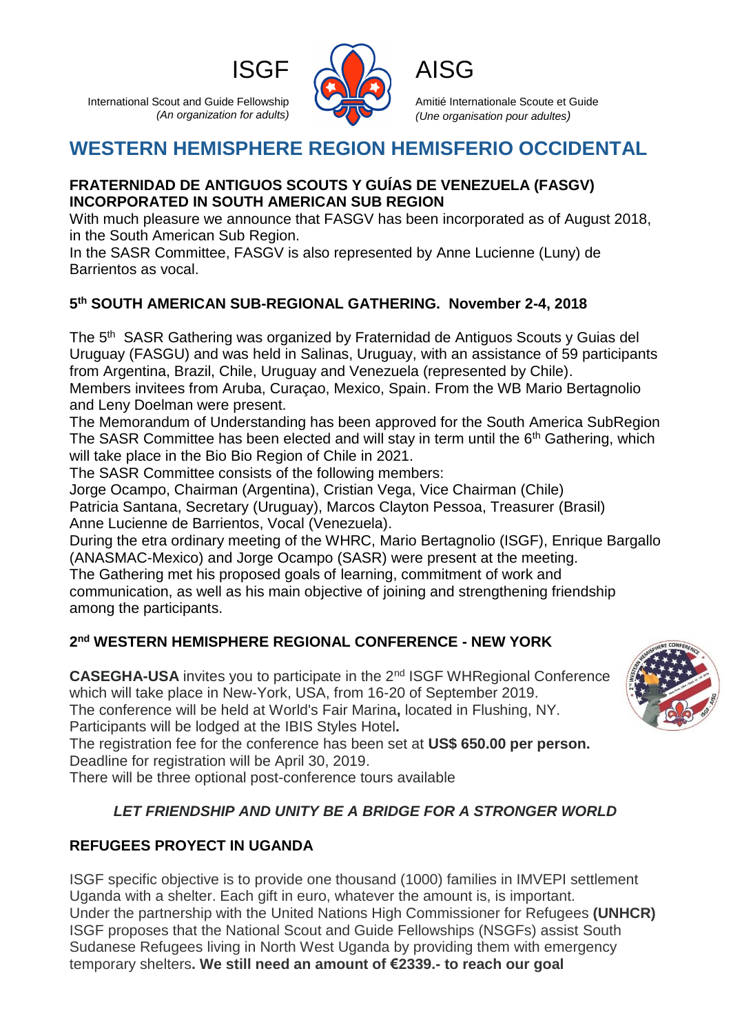International Scout and Guide Fellowship *(An organization for adults)*



Amitié Internationale Scoute et Guide *(Une organisation pour adultes)*

# **WESTERN HEMISPHERE REGION HEMISFERIO OCCIDENTAL**

#### **FRATERNIDAD DE ANTIGUOS SCOUTS Y GUÍAS DE VENEZUELA (FASGV) INCORPORATED IN SOUTH AMERICAN SUB REGION**

With much pleasure we announce that FASGV has been incorporated as of August 2018, in the South American Sub Region.

In the SASR Committee, FASGV is also represented by Anne Lucienne (Luny) de Barrientos as vocal.

### **5 th SOUTH AMERICAN SUB-REGIONAL GATHERING. November 2-4, 2018**

The 5<sup>th</sup> SASR Gathering was organized by Fraternidad de Antiguos Scouts y Guias del Uruguay (FASGU) and was held in Salinas, Uruguay, with an assistance of 59 participants from Argentina, Brazil, Chile, Uruguay and Venezuela (represented by Chile). Members invitees from Aruba, Curaçao, Mexico, Spain. From the WB Mario Bertagnolio

and Leny Doelman were present.

The Memorandum of Understanding has been approved for the South America SubRegion The SASR Committee has been elected and will stay in term until the 6<sup>th</sup> Gathering, which will take place in the Bio Bio Region of Chile in 2021.

The SASR Committee consists of the following members:

Jorge Ocampo, Chairman (Argentina), Cristian Vega, Vice Chairman (Chile) Patricia Santana, Secretary (Uruguay), Marcos Clayton Pessoa, Treasurer (Brasil) Anne Lucienne de Barrientos, Vocal (Venezuela).

During the etra ordinary meeting of the WHRC, Mario Bertagnolio (ISGF), Enrique Bargallo (ANASMAC-Mexico) and Jorge Ocampo (SASR) were present at the meeting. The Gathering met his proposed goals of learning, commitment of work and communication, as well as his main objective of joining and strengthening friendship among the participants.

### **2 nd WESTERN HEMISPHERE REGIONAL CONFERENCE - NEW YORK**

**CASEGHA-USA** invites you to participate in the 2nd ISGF WHRegional Conference which will take place in New-York, USA, from 16-20 of September 2019. The conference will be held at World's Fair Marina**,** located in Flushing, NY. Participants will be lodged at the IBIS Styles Hotel**.**

The registration fee for the conference has been set at **US\$ 650.00 per person.**  Deadline for registration will be April 30, 2019.

There will be three optional post-conference tours available

# *LET FRIENDSHIP AND UNITY BE A BRIDGE FOR A STRONGER WORLD*

## **REFUGEES PROYECT IN UGANDA**

ISGF specific objective is to provide one thousand (1000) families in IMVEPI settlement Uganda with a shelter. Each gift in euro, whatever the amount is, is important. Under the partnership with the United Nations High Commissioner for Refugees **(UNHCR)** ISGF proposes that the National Scout and Guide Fellowships (NSGFs) assist South Sudanese Refugees living in North West Uganda by providing them with emergency temporary shelters**. We still need an amount of €2339.- to reach our goal**